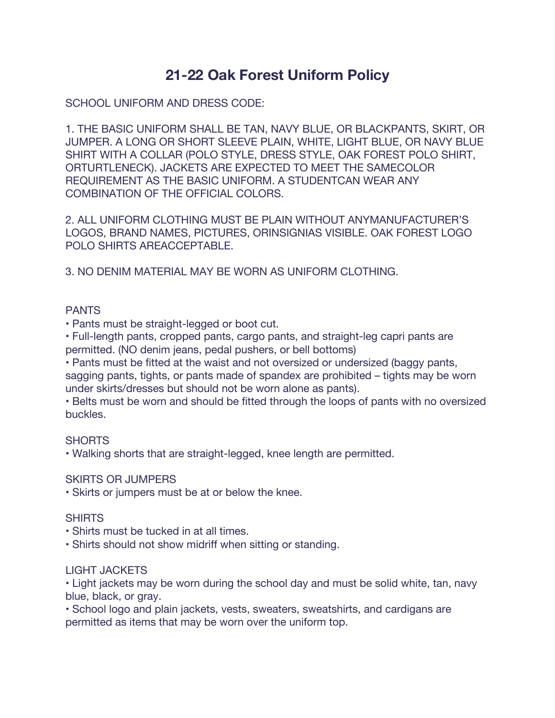# **21-22 Oak Forest Uniform Policy**

SCHOOL UNIFORM AND DRESS CODE:

1. THE BASIC UNIFORM SHALL BE TAN, NAVY BLUE, OR BLACKPANTS, SKIRT, OR JUMPER. A LONG OR SHORT SLEEVE PLAIN, WHITE, LIGHT BLUE, OR NAVY BLUE SHIRT WITH A COLLAR (POLO STYLE, DRESS STYLE, OAK FOREST POLO SHIRT, ORTURTLENECK). JACKETS ARE EXPECTED TO MEET THE SAMECOLOR REQUIREMENT AS THE BASIC UNIFORM. A STUDENTCAN WEAR ANY COMBINATION OF THE OFFICIAL COLORS.

2. ALL UNIFORM CLOTHING MUST BE PLAIN WITHOUT ANYMANUFACTURER'S LOGOS, BRAND NAMES, PICTURES, ORINSIGNIAS VISIBLE. OAK FOREST LOGO POLO SHIRTS AREACCEPTABLE.

3. NO DENIM MATERIAL MAY BE WORN AS UNIFORM CLOTHING.

## PANTS

• Pants must be straight-legged or boot cut.

• Full-length pants, cropped pants, cargo pants, and straight-leg capri pants are permitted. (NO denim jeans, pedal pushers, or bell bottoms)

• Pants must be fitted at the waist and not oversized or undersized (baggy pants, sagging pants, tights, or pants made of spandex are prohibited – tights may be worn under skirts/dresses but should not be worn alone as pants).

• Belts must be worn and should be fitted through the loops of pants with no oversized buckles.

### **SHORTS**

• Walking shorts that are straight-legged, knee length are permitted.

### SKIRTS OR JUMPERS

• Skirts or jumpers must be at or below the knee.

### **SHIRTS**

- Shirts must be tucked in at all times.
- Shirts should not show midriff when sitting or standing.

### LIGHT JACKETS

• Light jackets may be worn during the school day and must be solid white, tan, navy blue, black, or gray.

• School logo and plain jackets, vests, sweaters, sweatshirts, and cardigans are permitted as items that may be worn over the uniform top.